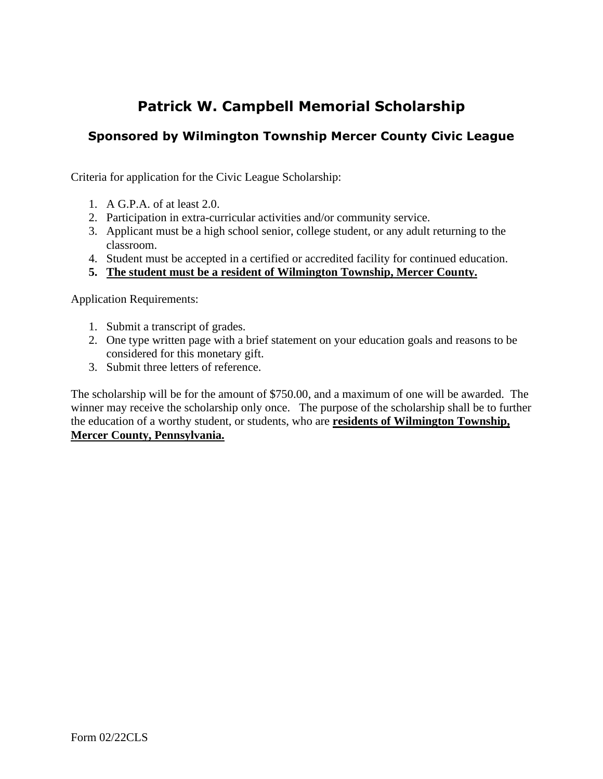## **Patrick W. Campbell Memorial Scholarship**

## **Sponsored by Wilmington Township Mercer County Civic League**

Criteria for application for the Civic League Scholarship:

- 1. A G.P.A. of at least 2.0.
- 2. Participation in extra-curricular activities and/or community service.
- 3. Applicant must be a high school senior, college student, or any adult returning to the classroom.
- 4. Student must be accepted in a certified or accredited facility for continued education.
- **5. The student must be a resident of Wilmington Township, Mercer County.**

Application Requirements:

- 1. Submit a transcript of grades.
- 2. One type written page with a brief statement on your education goals and reasons to be considered for this monetary gift.
- 3. Submit three letters of reference.

The scholarship will be for the amount of \$750.00, and a maximum of one will be awarded. The winner may receive the scholarship only once. The purpose of the scholarship shall be to further the education of a worthy student, or students, who are **residents of Wilmington Township, Mercer County, Pennsylvania.**